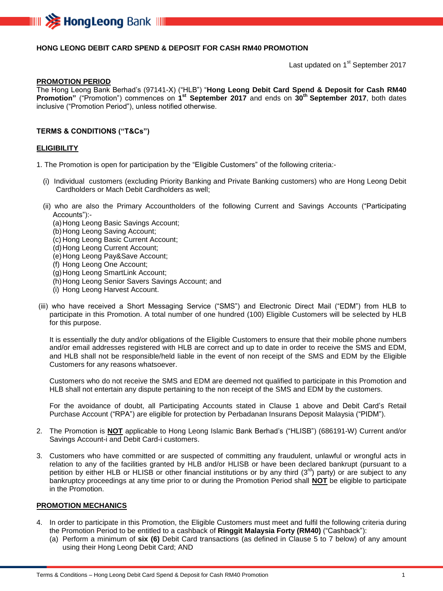

## **HONG LEONG DEBIT CARD SPEND & DEPOSIT FOR CASH RM40 PROMOTION**

Last updated on 1<sup>st</sup> September 2017

#### **PROMOTION PERIOD**

The Hong Leong Bank Berhad's (97141-X) ("HLB") "**Hong Leong Debit Card Spend & Deposit for Cash RM40 Promotion"** ("Promotion") commences on **1 st September 2017** and ends on **30 th September 2017**, both dates inclusive ("Promotion Period"), unless notified otherwise.

#### **TERMS & CONDITIONS ("T&Cs")**

#### **ELIGIBILITY**

1. The Promotion is open for participation by the "Eligible Customers" of the following criteria:-

- (i) Individual customers (excluding Priority Banking and Private Banking customers) who are Hong Leong Debit Cardholders or Mach Debit Cardholders as well;
- (ii) who are also the Primary Accountholders of the following Current and Savings Accounts ("Participating Accounts"):-
	- (a)Hong Leong Basic Savings Account;
	- (b)Hong Leong Saving Account;
	- (c) Hong Leong Basic Current Account;
	- (d) Hong Leong Current Account;
	- (e)Hong Leong Pay&Save Account;
	- (f) Hong Leong One Account;
	- (g)Hong Leong SmartLink Account;
	- (h) Hong Leong Senior Savers Savings Account; and
	- (i) Hong Leong Harvest Account.
- (iii) who have received a Short Messaging Service ("SMS") and Electronic Direct Mail ("EDM") from HLB to participate in this Promotion. A total number of one hundred (100) Eligible Customers will be selected by HLB for this purpose.

It is essentially the duty and/or obligations of the Eligible Customers to ensure that their mobile phone numbers and/or email addresses registered with HLB are correct and up to date in order to receive the SMS and EDM, and HLB shall not be responsible/held liable in the event of non receipt of the SMS and EDM by the Eligible Customers for any reasons whatsoever.

Customers who do not receive the SMS and EDM are deemed not qualified to participate in this Promotion and HLB shall not entertain any dispute pertaining to the non receipt of the SMS and EDM by the customers.

For the avoidance of doubt, all Participating Accounts stated in Clause 1 above and Debit Card's Retail Purchase Account ("RPA") are eligible for protection by Perbadanan Insurans Deposit Malaysia ("PIDM").

- 2. The Promotion is **NOT** applicable to Hong Leong Islamic Bank Berhad's ("HLISB") (686191-W) Current and/or Savings Account-i and Debit Card-i customers.
- 3. Customers who have committed or are suspected of committing any fraudulent, unlawful or wrongful acts in relation to any of the facilities granted by HLB and/or HLISB or have been declared bankrupt (pursuant to a petition by either HLB or HLISB or other financial institutions or by any third  $(3^{rd})$  party) or are subject to any bankruptcy proceedings at any time prior to or during the Promotion Period shall **NOT** be eligible to participate in the Promotion.

### **PROMOTION MECHANICS**

- 4. In order to participate in this Promotion, the Eligible Customers must meet and fulfil the following criteria during the Promotion Period to be entitled to a cashback of **Ringgit Malaysia Forty (RM40)** ("Cashback"):
	- (a) Perform a minimum of **six (6)** Debit Card transactions (as defined in Clause 5 to 7 below) of any amount using their Hong Leong Debit Card; AND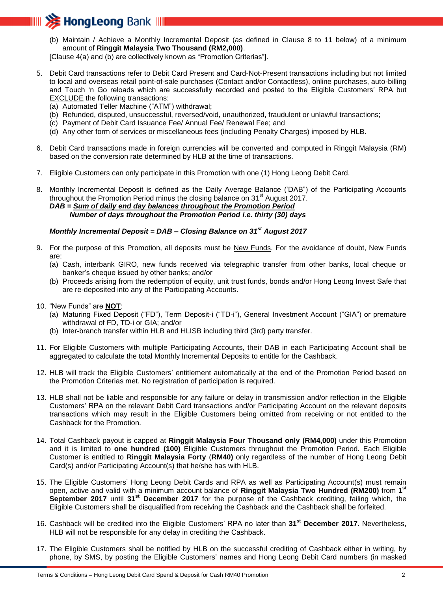

(b) Maintain / Achieve a Monthly Incremental Deposit (as defined in Clause 8 to 11 below) of a minimum amount of **Ringgit Malaysia Two Thousand (RM2,000)**.

[Clause 4(a) and (b) are collectively known as "Promotion Criterias"].

- 5. Debit Card transactions refer to Debit Card Present and Card-Not-Present transactions including but not limited to local and overseas retail point-of-sale purchases (Contact and/or Contactless), online purchases, auto-billing and Touch 'n Go reloads which are successfully recorded and posted to the Eligible Customers' RPA but EXCLUDE the following transactions:
	- (a) Automated Teller Machine ("ATM") withdrawal;
	- (b) Refunded, disputed, unsuccessful, reversed/void, unauthorized, fraudulent or unlawful transactions;
	- (c) Payment of Debit Card Issuance Fee/ Annual Fee/ Renewal Fee; and
	- (d) Any other form of services or miscellaneous fees (including Penalty Charges) imposed by HLB.
- 6. Debit Card transactions made in foreign currencies will be converted and computed in Ringgit Malaysia (RM) based on the conversion rate determined by HLB at the time of transactions.
- 7. Eligible Customers can only participate in this Promotion with one (1) Hong Leong Debit Card.

8. Monthly Incremental Deposit is defined as the Daily Average Balance ('DAB") of the Participating Accounts throughout the Promotion Period minus the closing balance on  $31<sup>st</sup>$  August 2017. *DAB = Sum of daily end day balances throughout the Promotion Period Number of days throughout the Promotion Period i.e. thirty (30) days*

## *Monthly Incremental Deposit = DAB – Closing Balance on 31st August 2017*

- 9. For the purpose of this Promotion, all deposits must be New Funds. For the avoidance of doubt, New Funds are:
	- (a) Cash, interbank GIRO, new funds received via telegraphic transfer from other banks, local cheque or banker's cheque issued by other banks; and/or
	- (b) Proceeds arising from the redemption of equity, unit trust funds, bonds and/or Hong Leong Invest Safe that are re-deposited into any of the Participating Accounts.
- 10. "New Funds" are **NOT**:
	- (a) Maturing Fixed Deposit ("FD"), Term Deposit-i ("TD-i"), General Investment Account ("GIA") or premature withdrawal of FD, TD-i or GIA; and/or
	- (b) Inter-branch transfer within HLB and HLISB including third (3rd) party transfer.
- 11. For Eligible Customers with multiple Participating Accounts, their DAB in each Participating Account shall be aggregated to calculate the total Monthly Incremental Deposits to entitle for the Cashback.
- 12. HLB will track the Eligible Customers' entitlement automatically at the end of the Promotion Period based on the Promotion Criterias met. No registration of participation is required.
- 13. HLB shall not be liable and responsible for any failure or delay in transmission and/or reflection in the Eligible Customers' RPA on the relevant Debit Card transactions and/or Participating Account on the relevant deposits transactions which may result in the Eligible Customers being omitted from receiving or not entitled to the Cashback for the Promotion.
- 14. Total Cashback payout is capped at **Ringgit Malaysia Four Thousand only (RM4,000)** under this Promotion and it is limited to **one hundred (100)** Eligible Customers throughout the Promotion Period. Each Eligible Customer is entitled to **Ringgit Malaysia Forty** (**RM40)** only regardless of the number of Hong Leong Debit Card(s) and/or Participating Account(s) that he/she has with HLB.
- 15. The Eligible Customers' Hong Leong Debit Cards and RPA as well as Participating Account(s) must remain open, active and valid with a minimum account balance of **Ringgit Malaysia Two Hundred (RM200)** from **1 st September 2017** until **31st December 2017** for the purpose of the Cashback crediting, failing which, the Eligible Customers shall be disqualified from receiving the Cashback and the Cashback shall be forfeited.
- 16. Cashback will be credited into the Eligible Customers' RPA no later than **31st December 2017**. Nevertheless, HLB will not be responsible for any delay in crediting the Cashback.
- 17. The Eligible Customers shall be notified by HLB on the successful crediting of Cashback either in writing, by phone, by SMS, by posting the Eligible Customers' names and Hong Leong Debit Card numbers (in masked